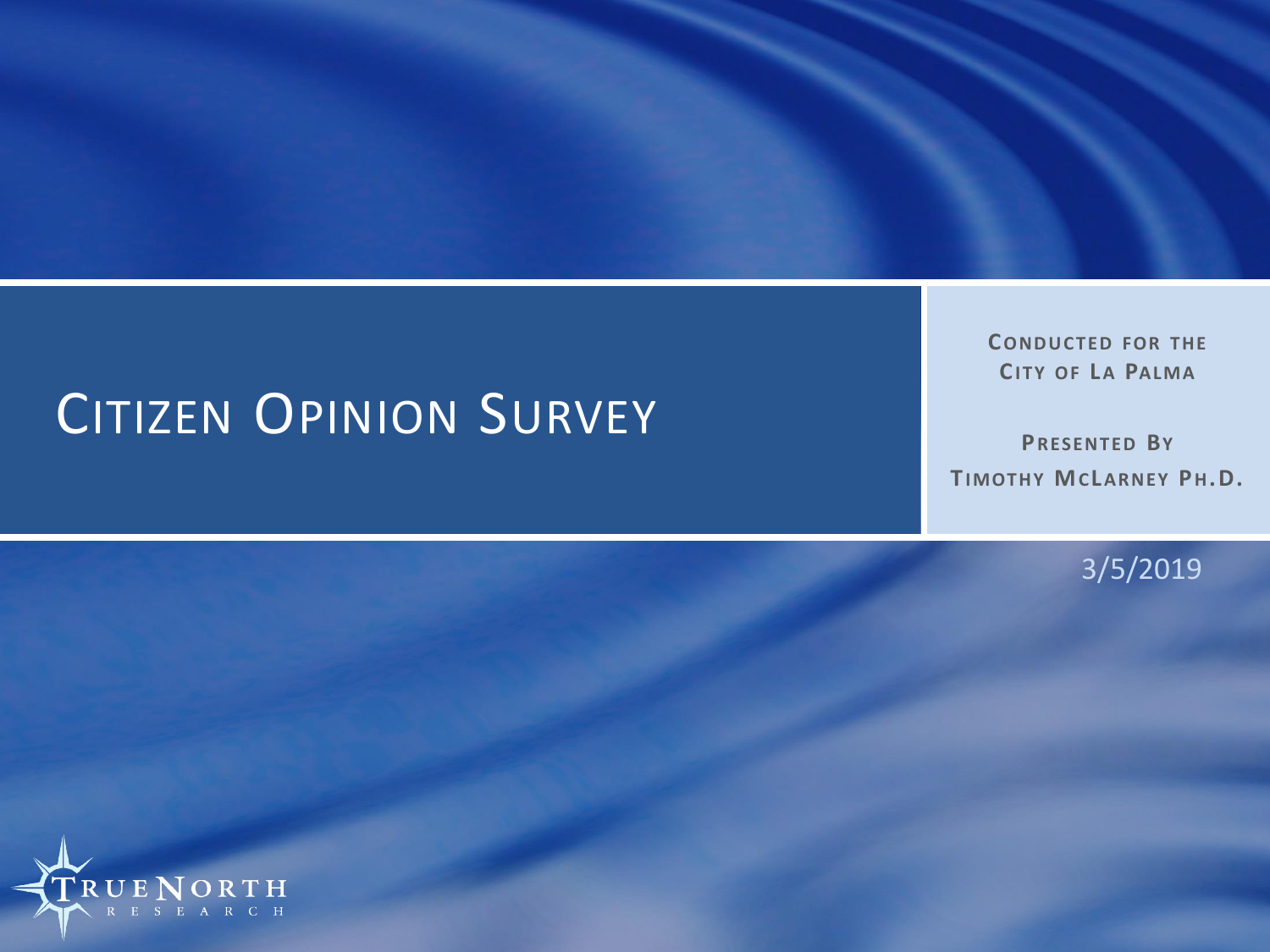### CITIZEN OPINION SURVEY

**CONDUCTED FOR THE CITY OF LA PALMA**

**PRESENTED BY TIMOTHY MCLARNEY PH.D.**

3/5/2019

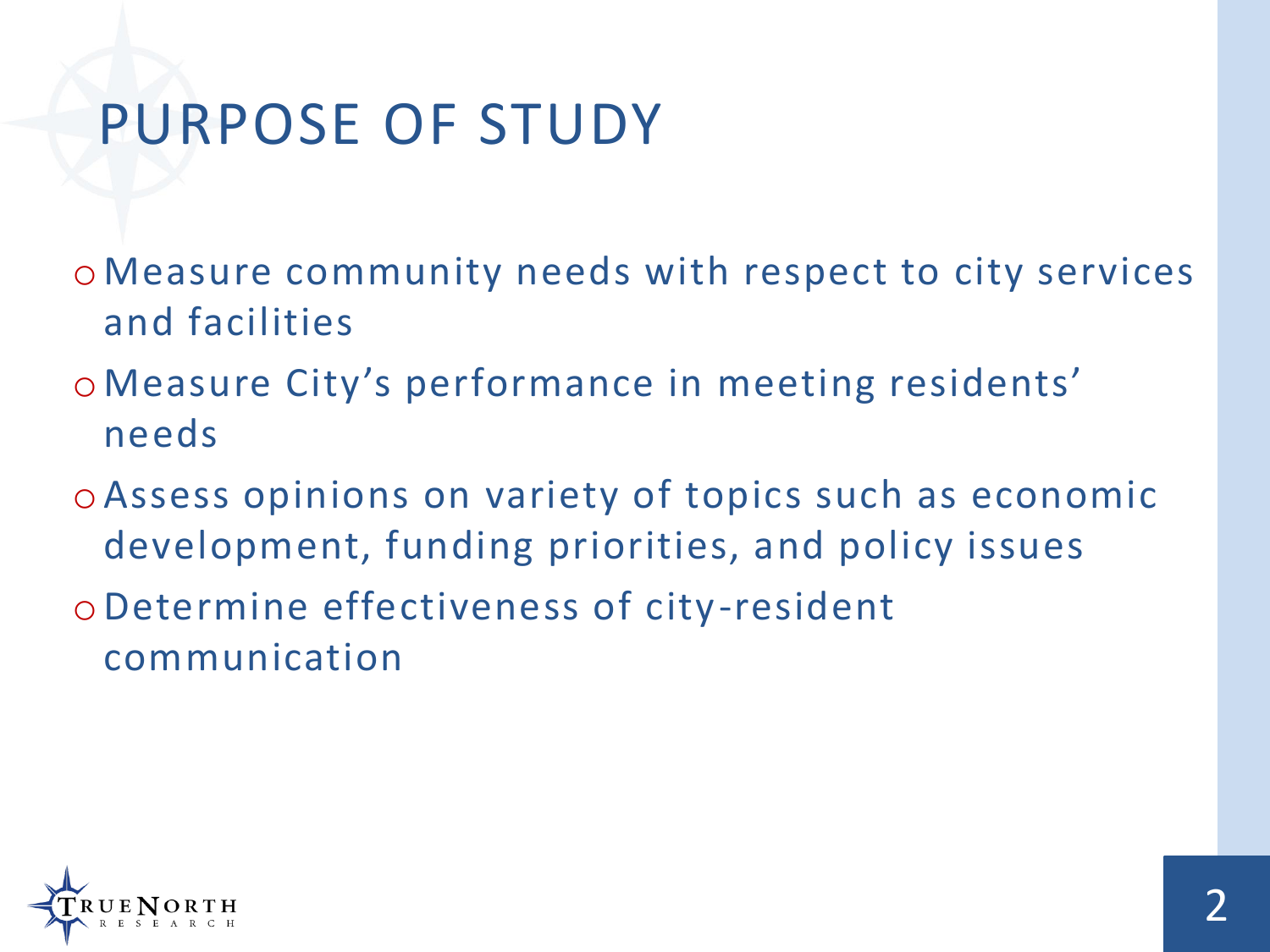## PURPOSE OF STUDY

- o Measure community needs with respect to city services and facilities
- o Measure City's performance in meeting residents' needs
- oAssess opinions on variety of topics such as economic development, funding priorities, and policy issues
- oDetermine effectiveness of city-resident communication

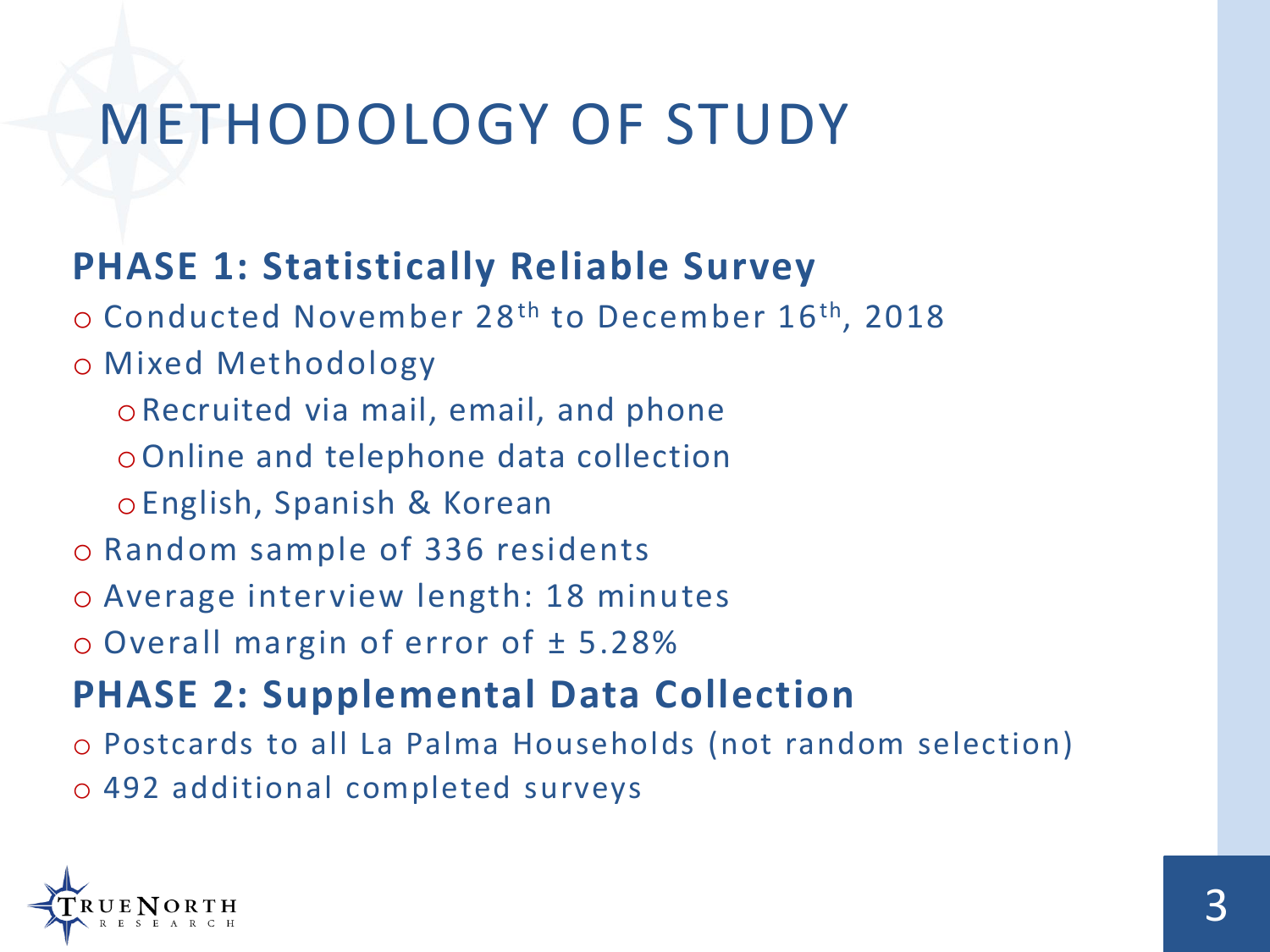## METHODOLOGY OF STUDY

#### **PHASE 1: Statistically Reliable Survey**

- o Conducted November 28th to December 16th, 2018
- o Mixed Methodology
	- oRecruited via mail, email, and phone
	- oOnline and telephone data collection
	- oEnglish, Spanish & Korean
- o Random sample of 336 residents
- o Average interview length: 18 minutes
- o Overall margin of error of ± 5.28%

#### **PHASE 2: Supplemental Data Collection**

o Postcards to all La Palma Households (not random selection) o 492 additional completed surveys

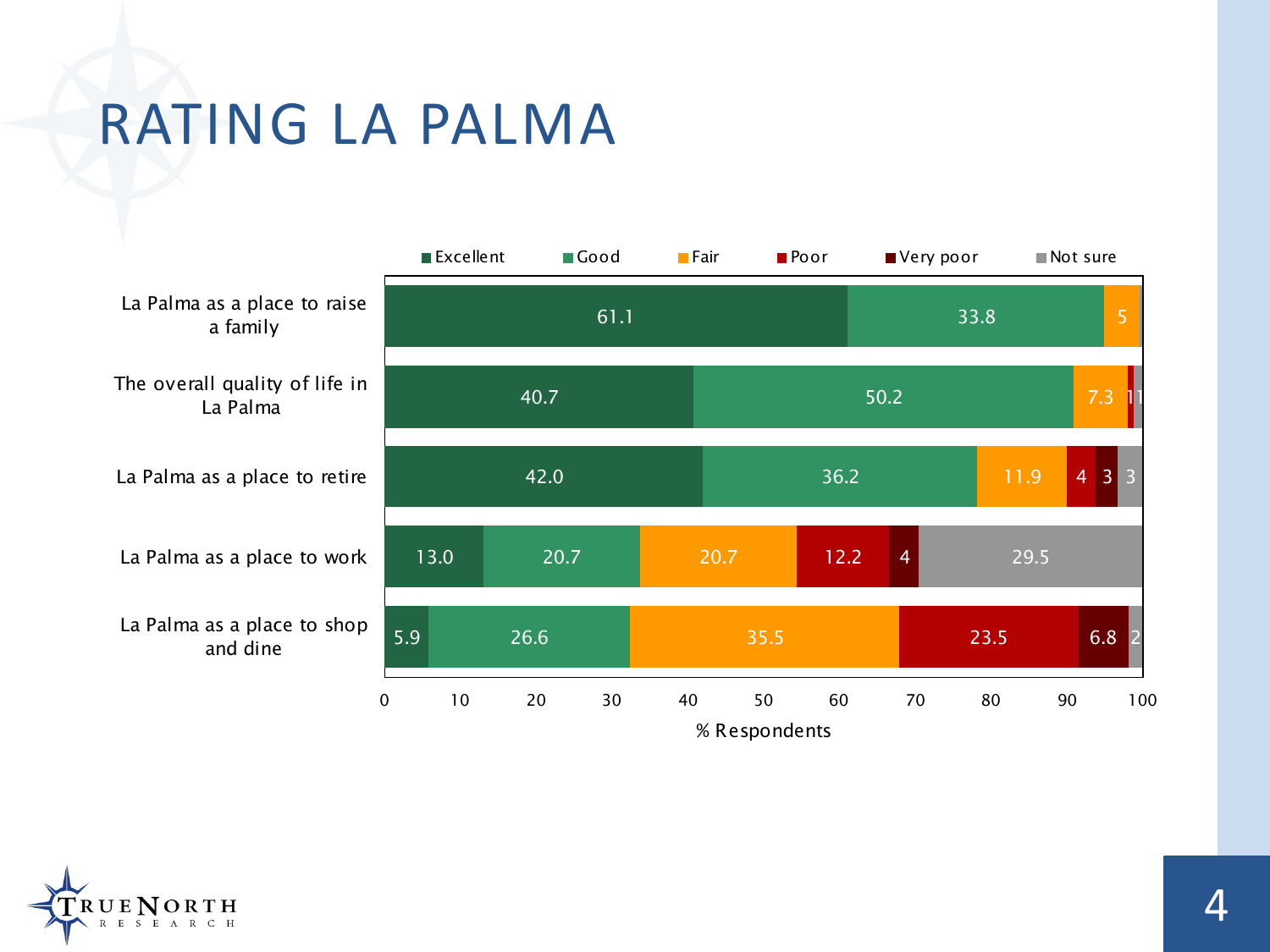## RATING LA PALMA



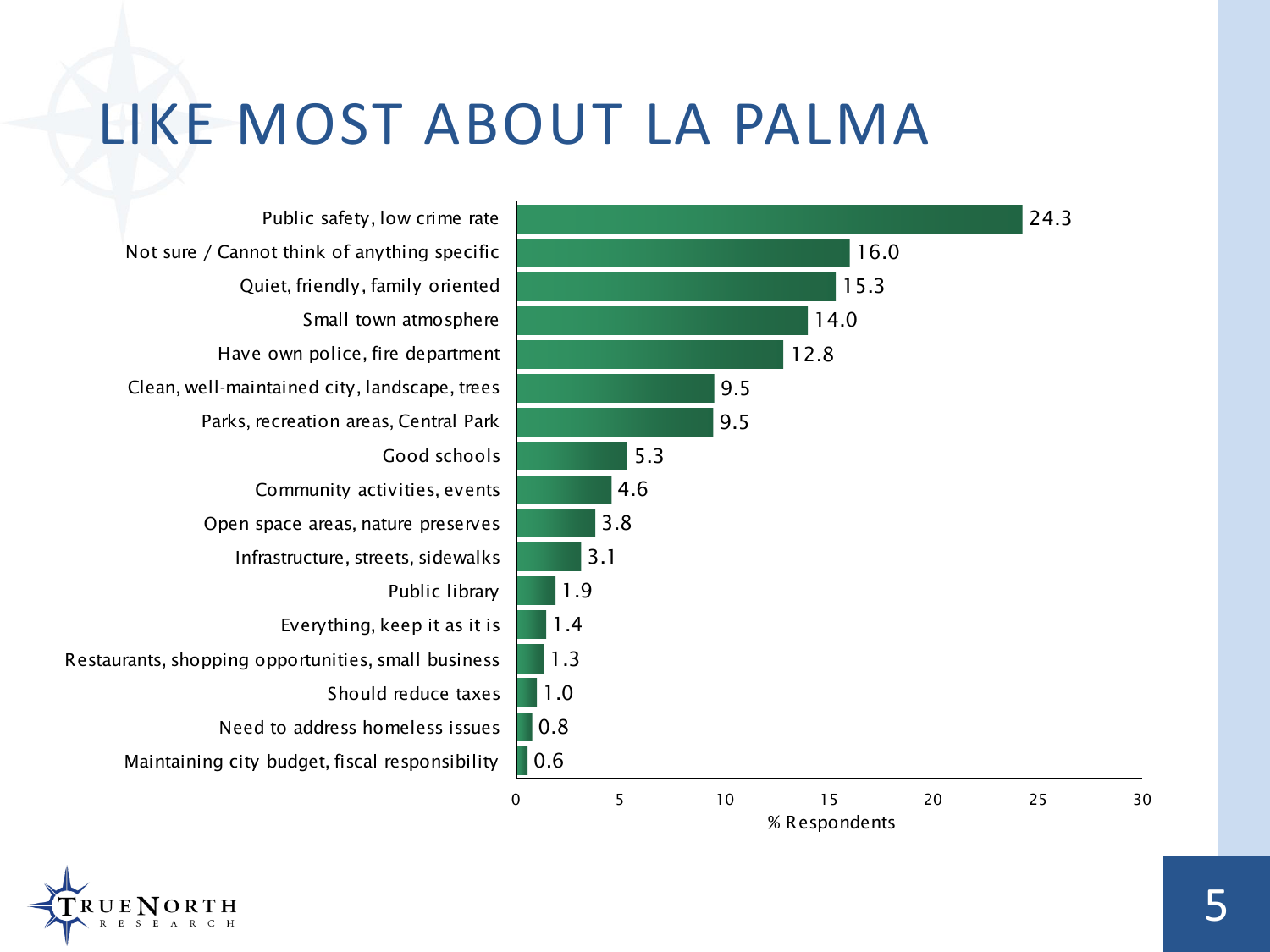## LIKE MOST ABOUT LA PALMA



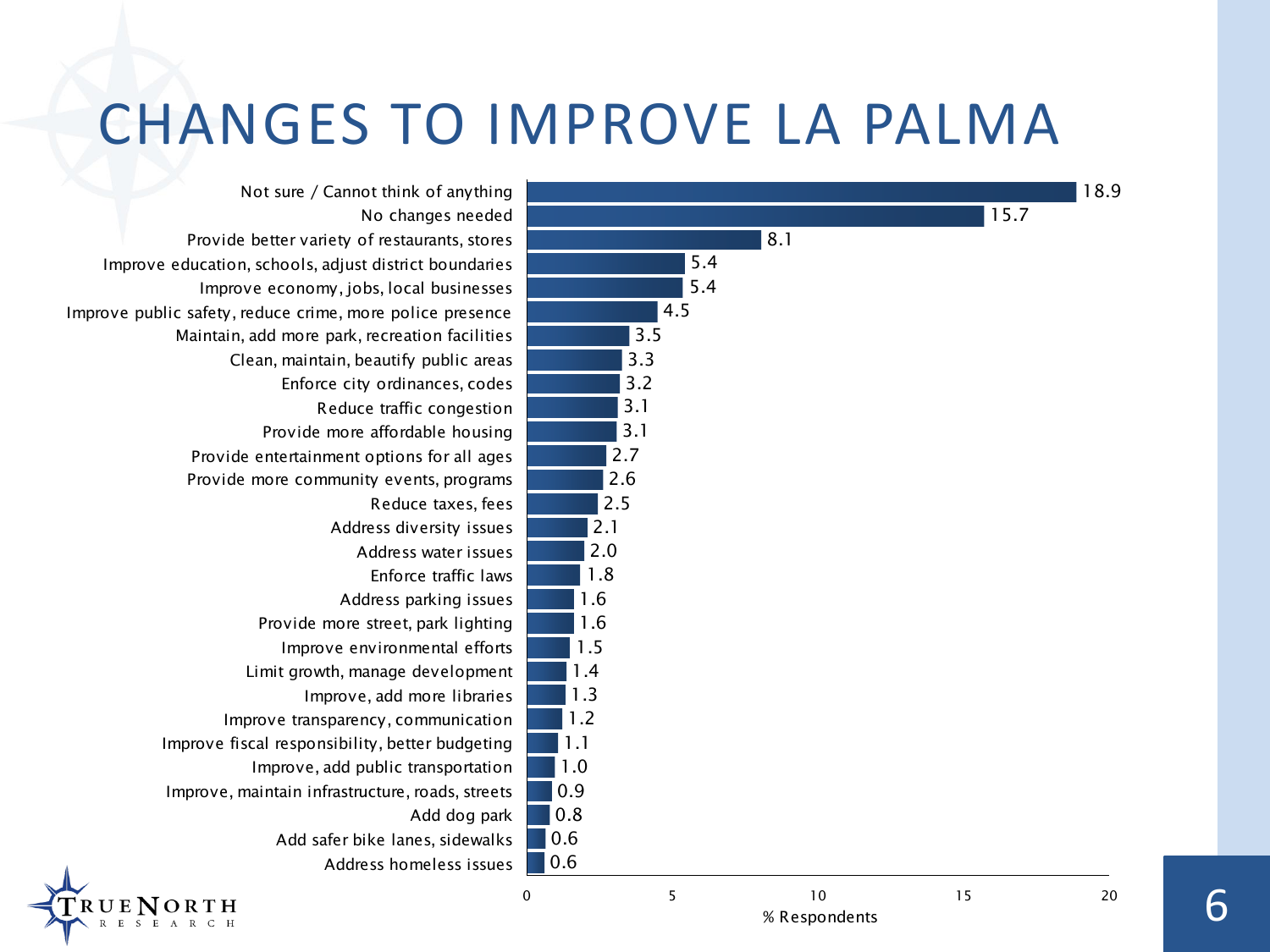## CHANGES TO IMPROVE LA PALMA





% Respondents

6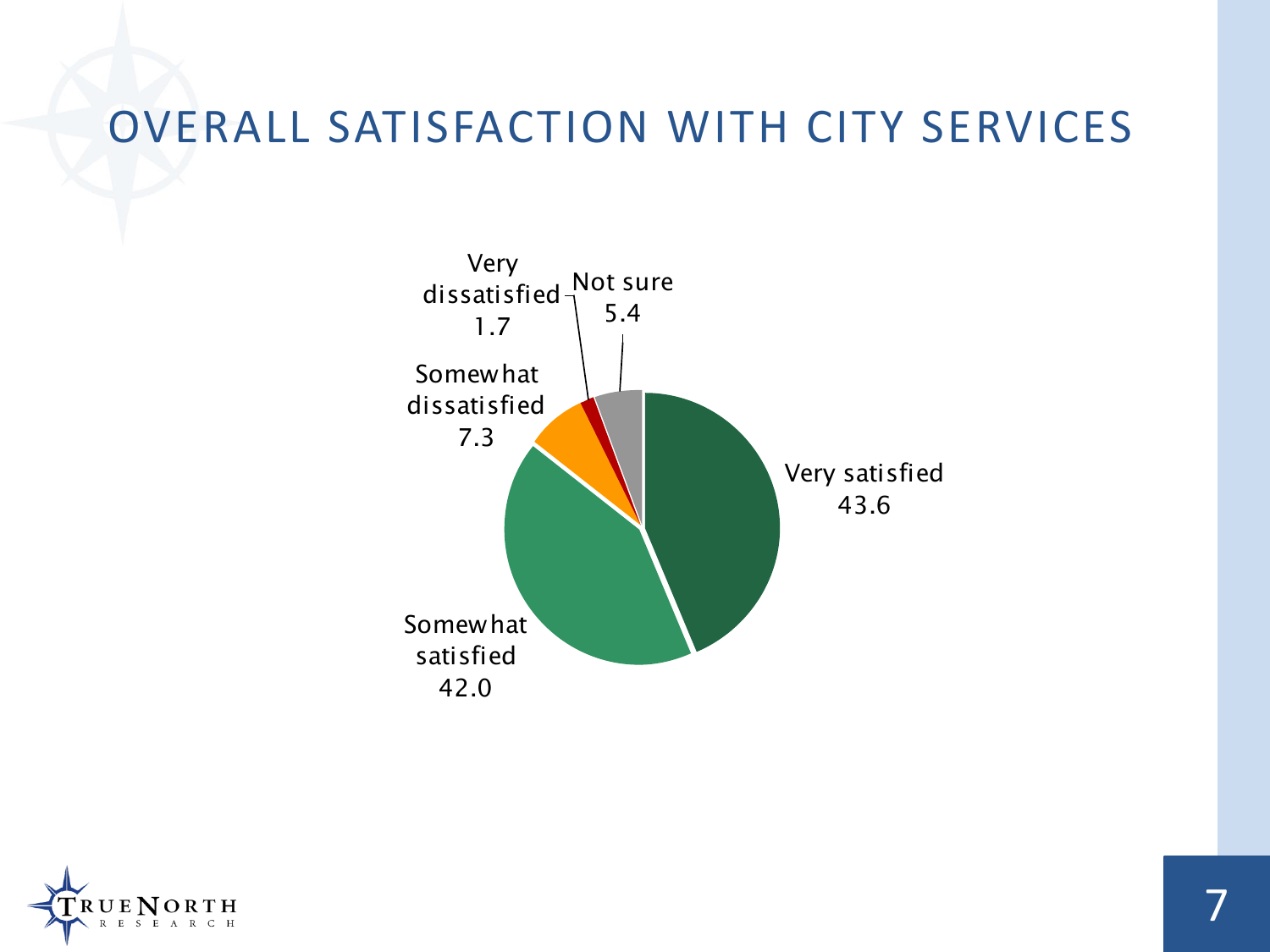#### OVERALL SATISFACTION WITH CITY SERVICES



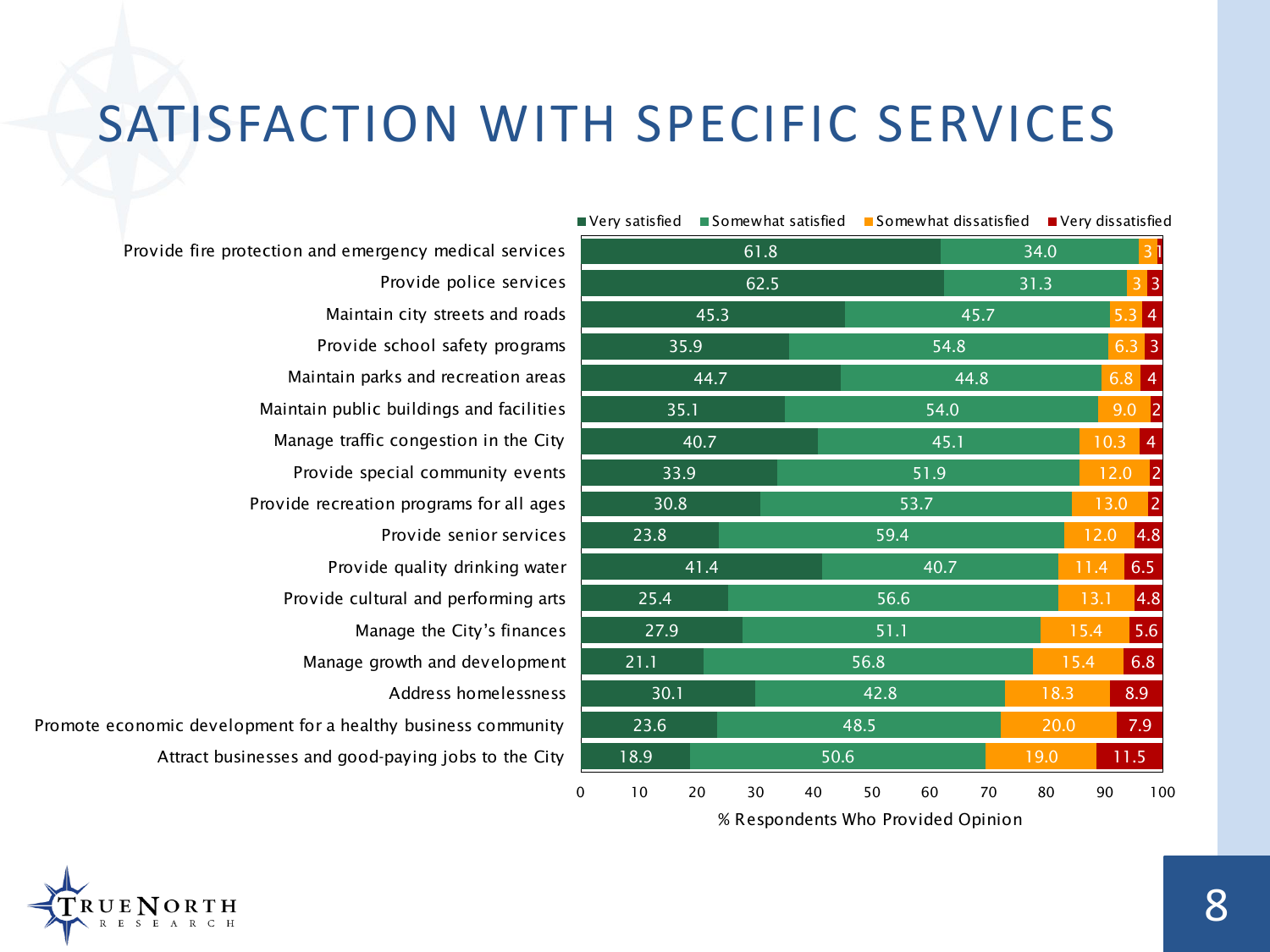### SATISFACTION WITH SPECIFIC SERVICES

| Provide fire protection and emergency medical services        |
|---------------------------------------------------------------|
| Provide police services                                       |
| Maintain city streets and roads                               |
| Provide school safety programs                                |
| Maintain parks and recreation areas                           |
| Maintain public buildings and facilities                      |
| Manage traffic congestion in the City                         |
| Provide special community events                              |
| Provide recreation programs for all ages                      |
| Provide senior services                                       |
| Provide quality drinking water                                |
| Provide cultural and performing arts                          |
| Manage the City's finances                                    |
| Manage growth and development                                 |
| Address homelessness                                          |
| Promote economic development for a healthy business community |
| Attract businesses and good-paying jobs to the City           |
|                                                               |

| ■ Very satisfied |      |      |      | ■ Somewhat satisfied ■ Somewhat dissatisfied ■ Very dissatisfied |      |      |      |      |      |                |  |  |  |  |  |  |
|------------------|------|------|------|------------------------------------------------------------------|------|------|------|------|------|----------------|--|--|--|--|--|--|
| 61.8             |      |      |      |                                                                  |      |      | 34.0 |      |      | 3<br>п         |  |  |  |  |  |  |
|                  |      | 62.5 |      |                                                                  |      |      | 31.3 |      |      | 3<br>3         |  |  |  |  |  |  |
|                  | 45.3 |      |      |                                                                  |      | 45.7 |      |      | 5.3  | 4              |  |  |  |  |  |  |
| 35.9             |      |      |      |                                                                  |      | 54.8 |      |      | 6.3  | 3              |  |  |  |  |  |  |
|                  | 44.7 |      |      |                                                                  |      | 44.8 |      |      | 6.8  | 4              |  |  |  |  |  |  |
| 35.1             |      |      |      |                                                                  | 54.0 |      |      |      | 9.0  | 2              |  |  |  |  |  |  |
|                  | 40.7 |      |      |                                                                  |      | 45.1 |      |      | 10.3 | 4              |  |  |  |  |  |  |
| 33.9             |      |      |      |                                                                  | 51.9 |      |      |      | 12.0 | 2              |  |  |  |  |  |  |
| 30.8             |      |      |      |                                                                  | 53.7 |      |      |      | 13.0 | $\overline{a}$ |  |  |  |  |  |  |
| 23.8             |      |      |      | 59.4                                                             |      |      |      |      | 12.0 | 4.8            |  |  |  |  |  |  |
|                  | 41.4 |      |      |                                                                  | 40.7 |      |      | 11.4 |      | 6.5            |  |  |  |  |  |  |
| 25.4             |      |      |      | 56.6                                                             |      |      |      | 13.1 |      | 4.8            |  |  |  |  |  |  |
| 27.9             |      |      |      | 51.1                                                             |      |      |      | 15.4 |      | 5.6            |  |  |  |  |  |  |
| 21.1             |      |      |      | 56.8                                                             |      |      |      | 15.4 |      | 6.8            |  |  |  |  |  |  |
| 30.1             |      |      |      | 42.8                                                             |      |      |      | 18.3 |      | 8.9            |  |  |  |  |  |  |
| 23.6             |      |      |      | 48.5                                                             |      |      |      | 20.0 |      | 7.9            |  |  |  |  |  |  |
| 18.9             |      |      | 50.6 |                                                                  |      |      | 19.0 |      | 11.5 |                |  |  |  |  |  |  |
| 10<br>0          | 20   | 30   | 40   | 50                                                               | 60   | 70   | 80   |      | 90   | 100            |  |  |  |  |  |  |

% Respondents Who Provided Opinion

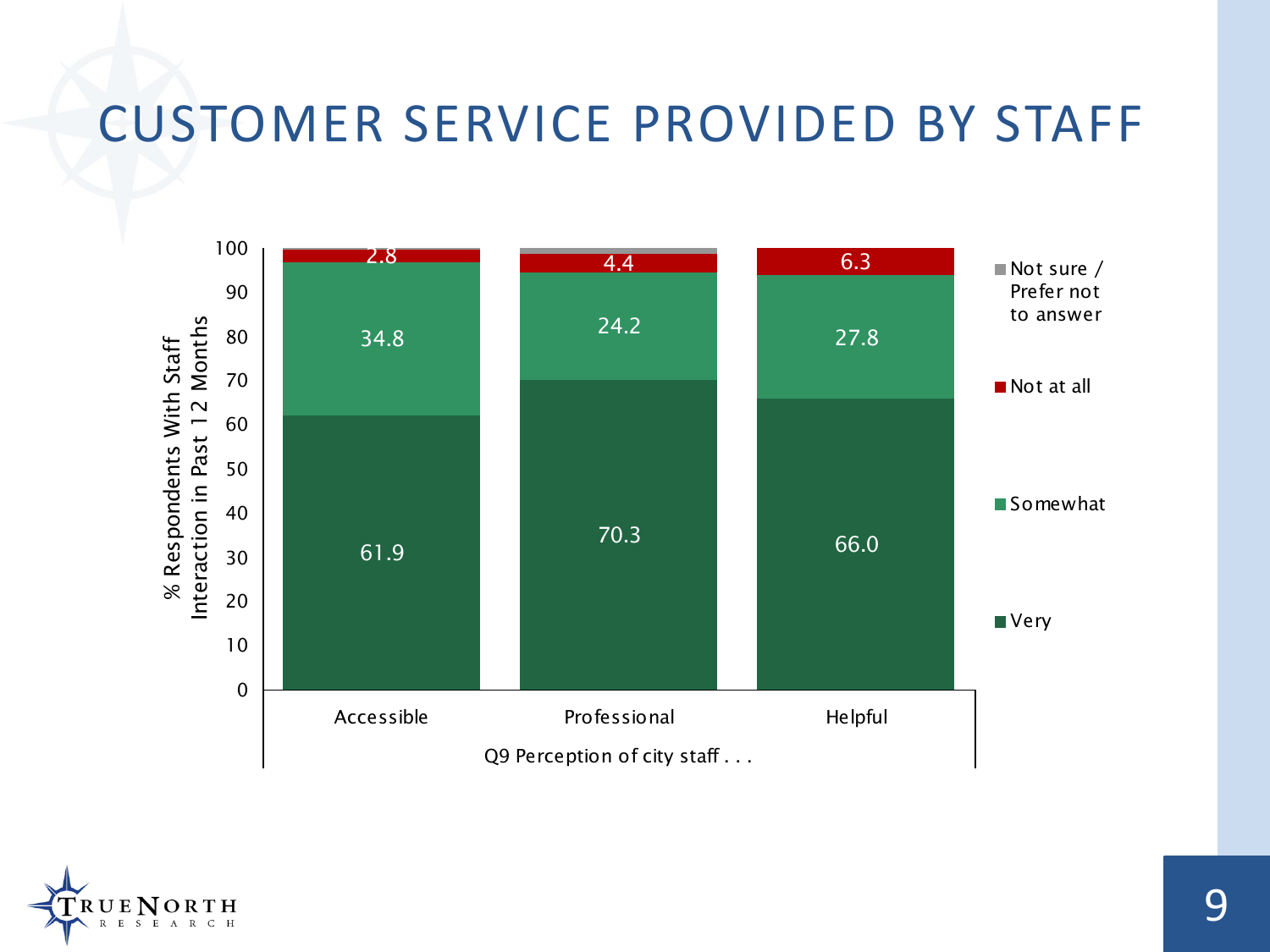### CUSTOMER SERVICE PROVIDED BY STAFF



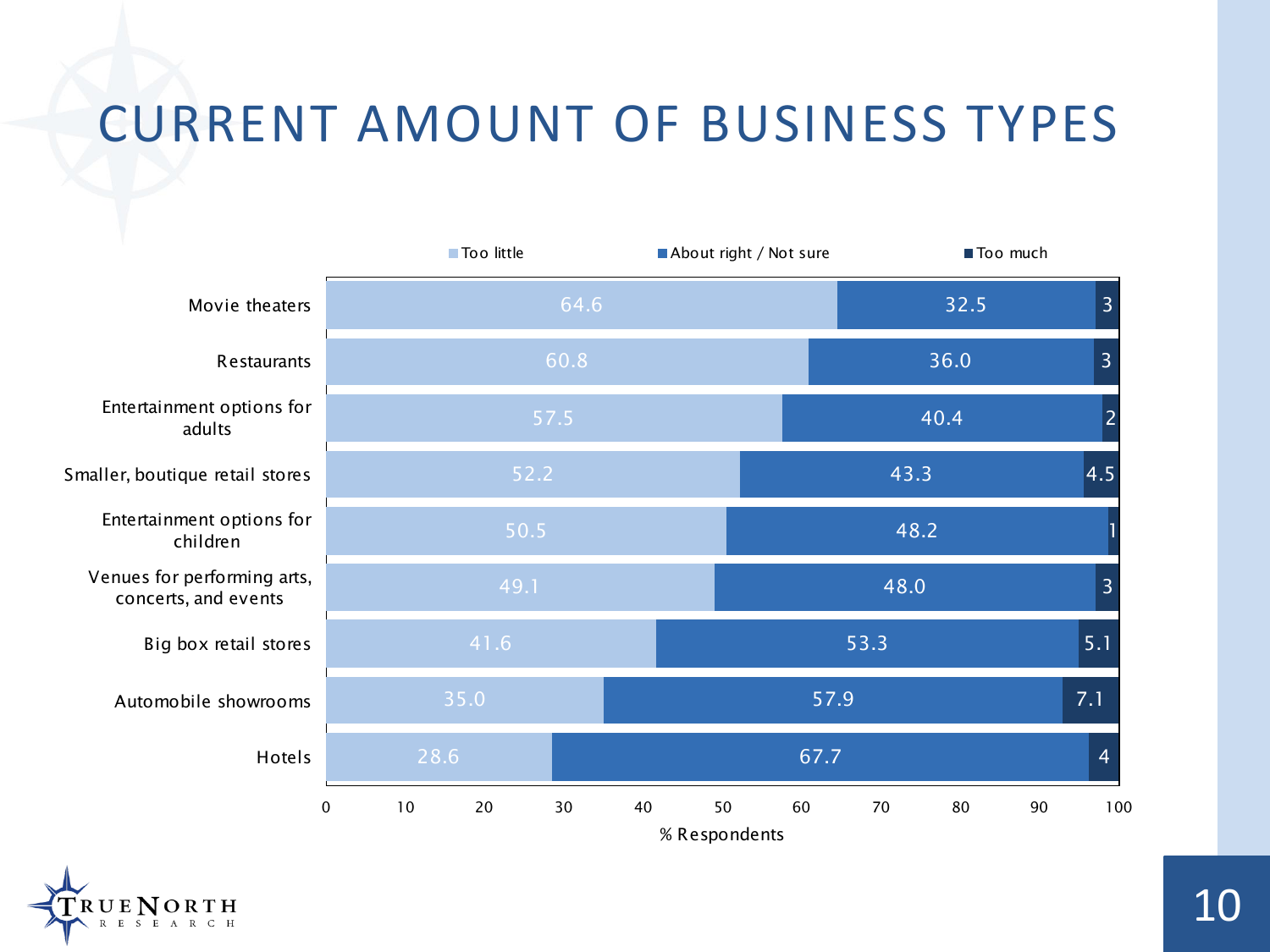### CURRENT AMOUNT OF BUSINESS TYPES



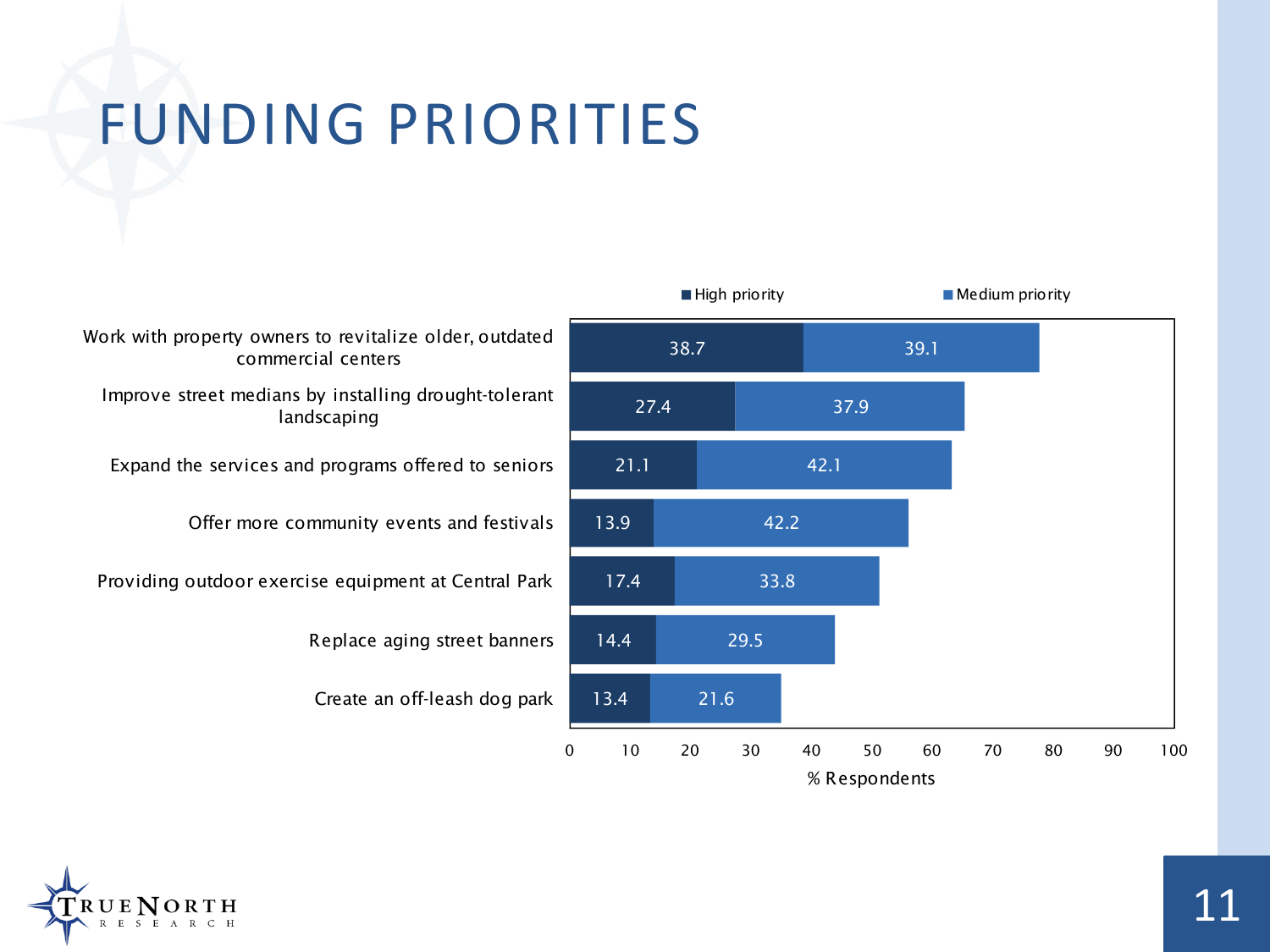## FUNDING PRIORITIES



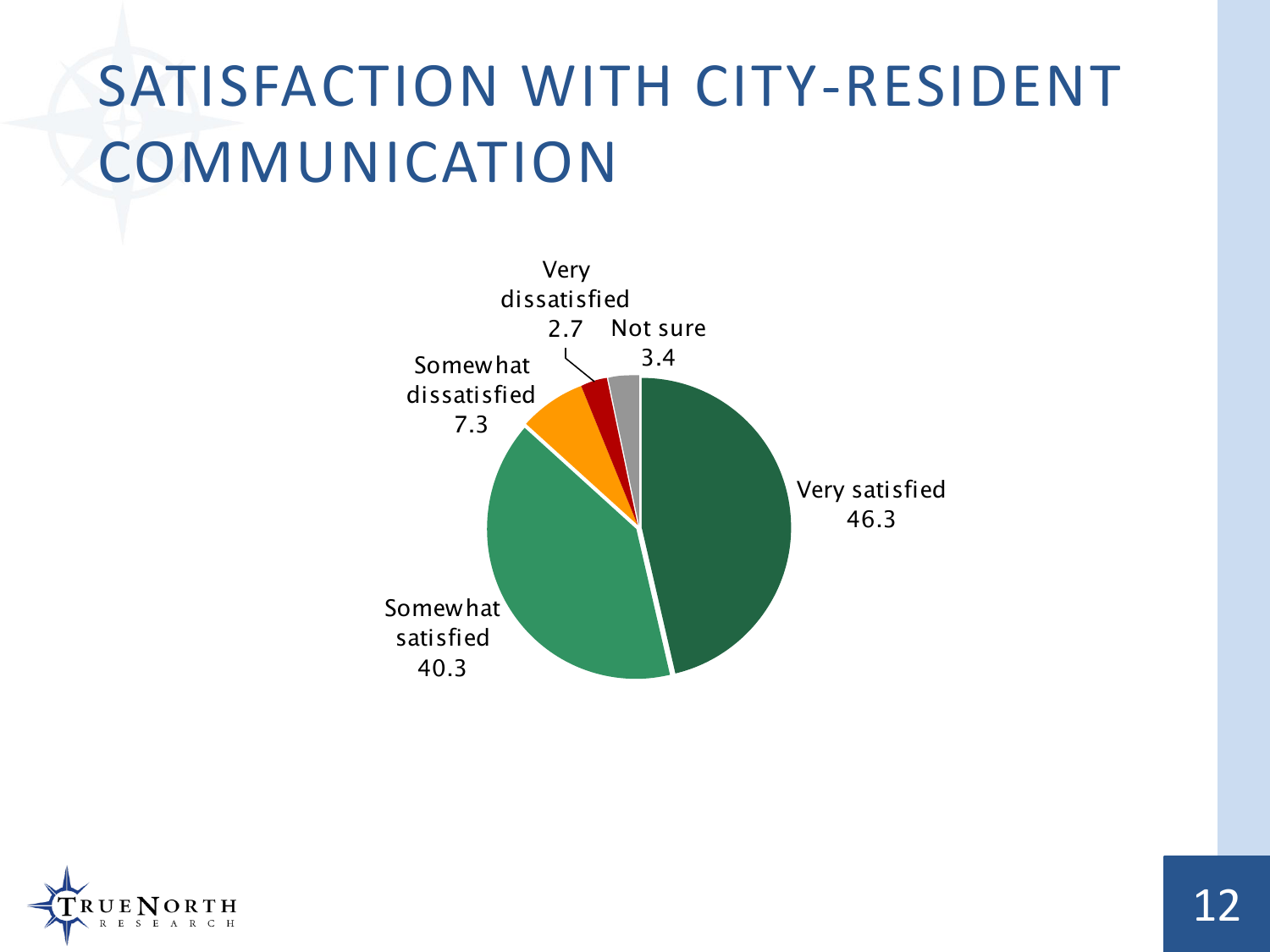# SATISFACTION WITH CITY-RESIDENT COMMUNICATION



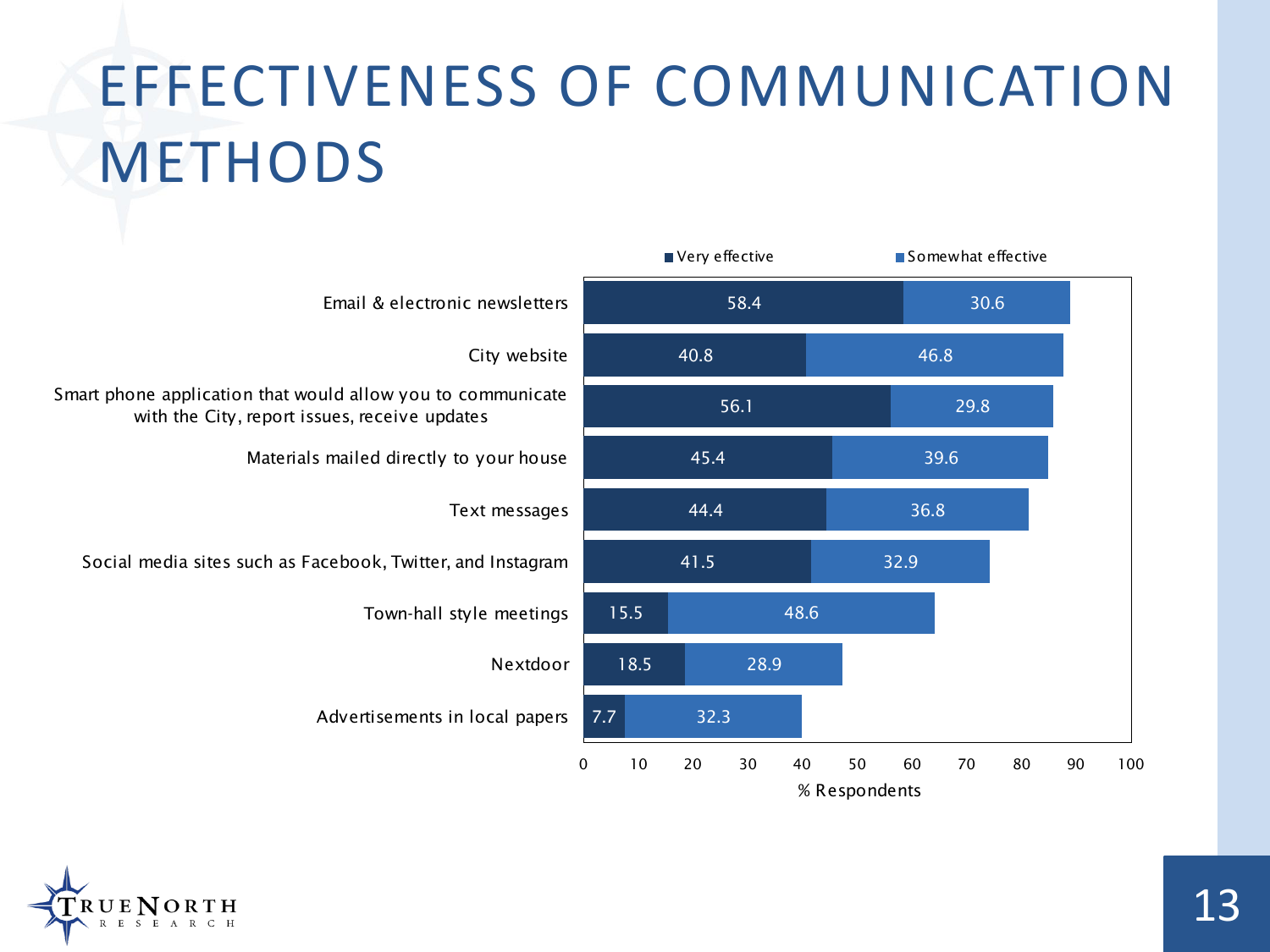# EFFECTIVENESS OF COMMUNICATION METHODS



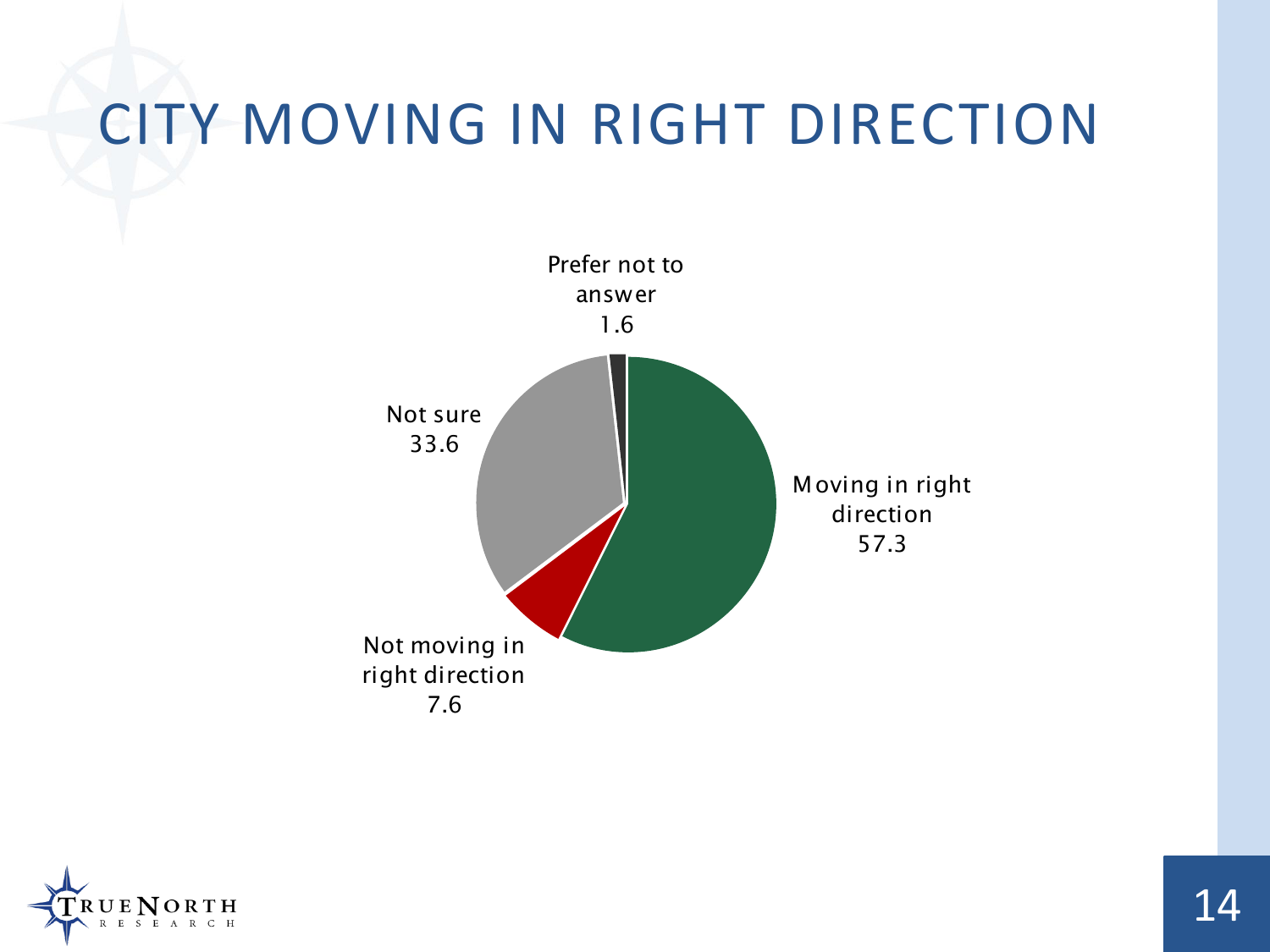## CITY MOVING IN RIGHT DIRECTION



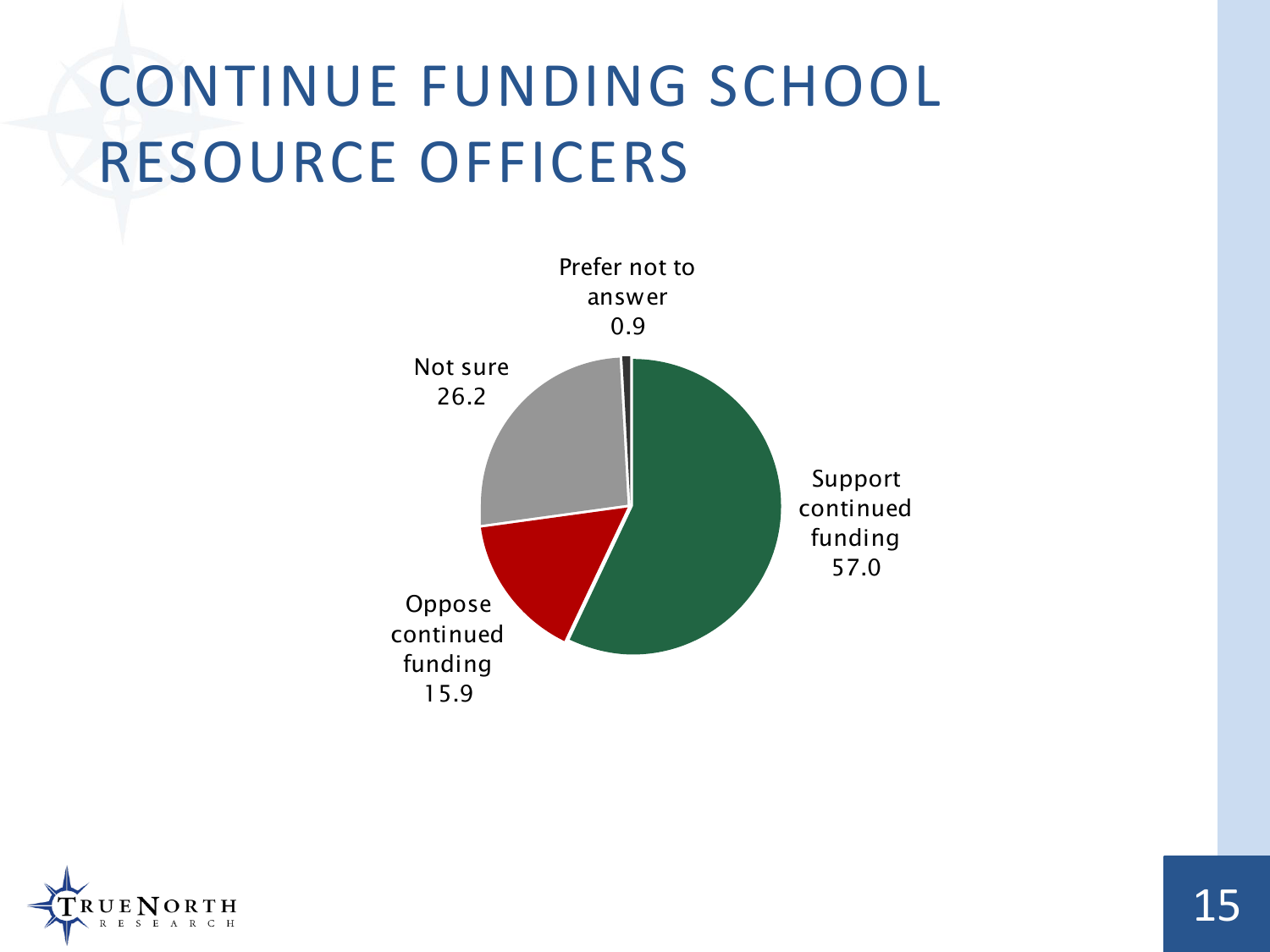# CONTINUE FUNDING SCHOOL RESOURCE OFFICERS



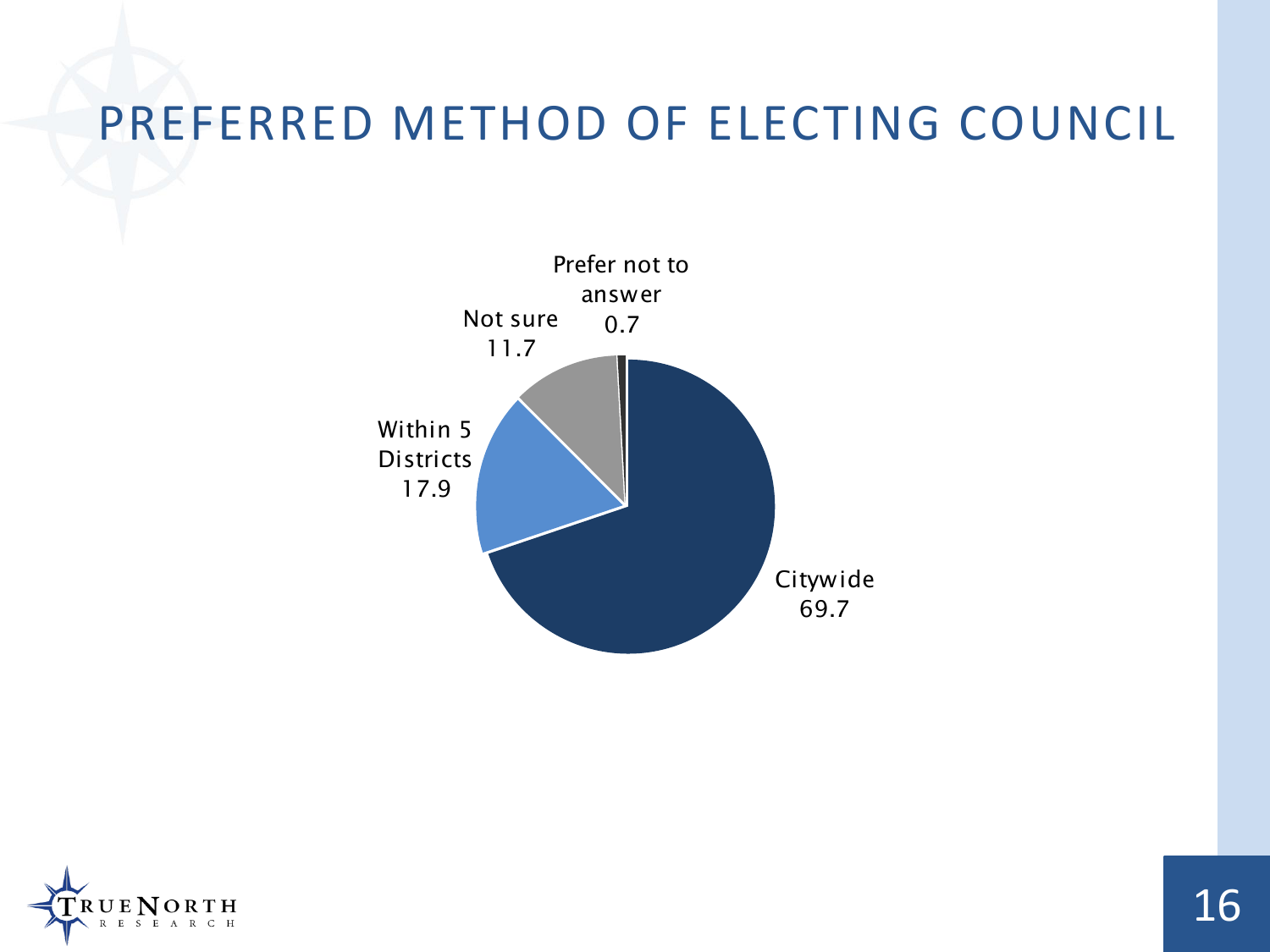#### PREFERRED METHOD OF ELECTING COUNCIL